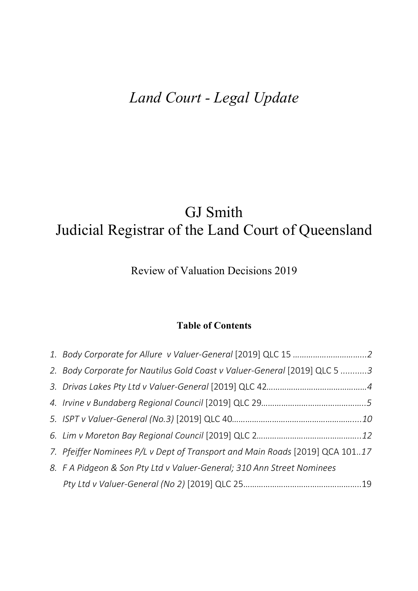# *Land Court - Legal Update*

# GJ Smith Judicial Registrar of the Land Court of Queensland

# Review of Valuation Decisions 2019

# **Table of Contents**

| 2. Body Corporate for Nautilus Gold Coast v Valuer-General [2019] QLC 5 3    |  |
|------------------------------------------------------------------------------|--|
|                                                                              |  |
|                                                                              |  |
|                                                                              |  |
|                                                                              |  |
| 7. Pfeiffer Nominees P/L v Dept of Transport and Main Roads [2019] QCA 10117 |  |
| 8. F A Pidgeon & Son Pty Ltd v Valuer-General; 310 Ann Street Nominees       |  |
|                                                                              |  |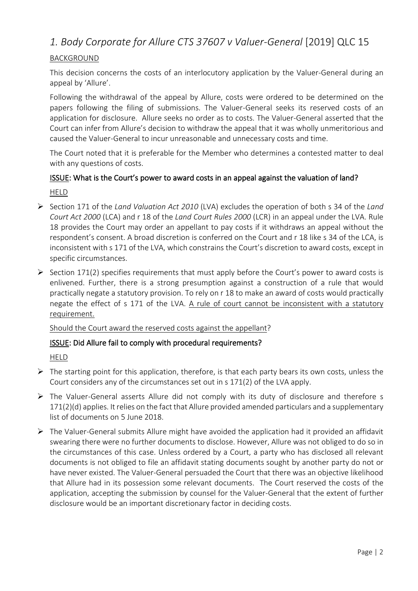# <span id="page-1-0"></span>*1. Body Corporate for Allure CTS 37607 v Valuer-General* [2019] QLC 15

## BACKGROUND

This decision concerns the costs of an interlocutory application by the Valuer-General during an appeal by 'Allure'.

Following the withdrawal of the appeal by Allure, costs were ordered to be determined on the papers following the filing of submissions. The Valuer-General seeks its reserved costs of an application for disclosure. Allure seeks no order as to costs. The Valuer-General asserted that the Court can infer from Allure's decision to withdraw the appeal that it was wholly unmeritorious and caused the Valuer-General to incur unreasonable and unnecessary costs and time.

The Court noted that it is preferable for the Member who determines a contested matter to deal with any questions of costs.

# ISSUE: What is the Court's power to award costs in an appeal against the valuation of land? HELD

- Section 171 of the *Land Valuation Act 2010* (LVA) excludes the operation of both s 34 of the *Land Court Act 2000* (LCA) and r 18 of the *Land Court Rules 2000* (LCR) in an appeal under the LVA. Rule 18 provides the Court may order an appellant to pay costs if it withdraws an appeal without the respondent's consent. A broad discretion is conferred on the Court and r 18 like s 34 of the LCA, is inconsistent with s 171 of the LVA, which constrains the Court's discretion to award costs, except in specific circumstances.
- $\triangleright$  Section 171(2) specifies requirements that must apply before the Court's power to award costs is enlivened. Further, there is a strong presumption against a construction of a rule that would practically negate a statutory provision. To rely on r 18 to make an award of costs would practically negate the effect of s 171 of the LVA. A rule of court cannot be inconsistent with a statutory requirement.

Should the Court award the reserved costs against the appellant?

#### ISSUE: Did Allure fail to comply with procedural requirements?

HELD

- $\triangleright$  The starting point for this application, therefore, is that each party bears its own costs, unless the Court considers any of the circumstances set out in s 171(2) of the LVA apply.
- The Valuer-General asserts Allure did not comply with its duty of disclosure and therefore s 171(2)(d) applies. It relies on the fact that Allure provided amended particulars and a supplementary list of documents on 5 June 2018.
- $\triangleright$  The Valuer-General submits Allure might have avoided the application had it provided an affidavit swearing there were no further documents to disclose. However, Allure was not obliged to do so in the circumstances of this case. Unless ordered by a Court, a party who has disclosed all relevant documents is not obliged to file an affidavit stating documents sought by another party do not or have never existed. The Valuer-General persuaded the Court that there was an objective likelihood that Allure had in its possession some relevant documents. The Court reserved the costs of the application, accepting the submission by counsel for the Valuer-General that the extent of further disclosure would be an important discretionary factor in deciding costs.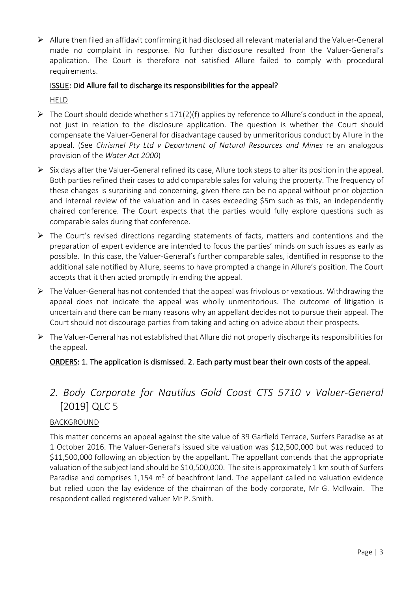<span id="page-2-0"></span> Allure then filed an affidavit confirming it had disclosed all relevant material and the Valuer-General made no complaint in response. No further disclosure resulted from the Valuer-General's application. The Court is therefore not satisfied Allure failed to comply with procedural requirements.

## ISSUE: Did Allure fail to discharge its responsibilities for the appeal?

HELD

- $\triangleright$  The Court should decide whether s 171(2)(f) applies by reference to Allure's conduct in the appeal, not just in relation to the disclosure application. The question is whether the Court should compensate the Valuer-General for disadvantage caused by unmeritorious conduct by Allure in the appeal. (See *Chrismel Pty Ltd v Department of Natural Resources and Mines* re an analogous provision of the *Water Act 2000*)
- $\triangleright$  Six days after the Valuer-General refined its case, Allure took steps to alter its position in the appeal. Both parties refined their cases to add comparable sales for valuing the property. The frequency of these changes is surprising and concerning, given there can be no appeal without prior objection and internal review of the valuation and in cases exceeding \$5m such as this, an independently chaired conference. The Court expects that the parties would fully explore questions such as comparable sales during that conference.
- $\triangleright$  The Court's revised directions regarding statements of facts, matters and contentions and the preparation of expert evidence are intended to focus the parties' minds on such issues as early as possible. In this case, the Valuer-General's further comparable sales, identified in response to the additional sale notified by Allure, seems to have prompted a change in Allure's position. The Court accepts that it then acted promptly in ending the appeal.
- $\triangleright$  The Valuer-General has not contended that the appeal was frivolous or vexatious. Withdrawing the appeal does not indicate the appeal was wholly unmeritorious. The outcome of litigation is uncertain and there can be many reasons why an appellant decides not to pursue their appeal. The Court should not discourage parties from taking and acting on advice about their prospects.
- $\triangleright$  The Valuer-General has not established that Allure did not properly discharge its responsibilities for the appeal.

# ORDERS: 1. The application is dismissed. 2. Each party must bear their own costs of the appeal.

# *2. Body Corporate for Nautilus Gold Coast CTS 5710 v Valuer-General*  [2019] QLC 5

#### **BACKGROUND**

This matter concerns an appeal against the site value of 39 Garfield Terrace, Surfers Paradise as at 1 October 2016. The Valuer-General's issued site valuation was \$12,500,000 but was reduced to \$11,500,000 following an objection by the appellant. The appellant contends that the appropriate valuation of the subject land should be \$10,500,000. The site is approximately 1 km south of Surfers Paradise and comprises 1,154 m<sup>2</sup> of beachfront land. The appellant called no valuation evidence but relied upon the lay evidence of the chairman of the body corporate, Mr G. McIlwain. The respondent called registered valuer Mr P. Smith.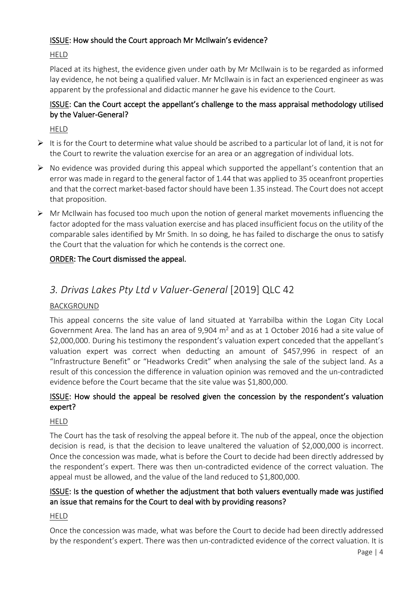## <span id="page-3-0"></span>ISSUE: How should the Court approach Mr McIlwain's evidence?

## HELD

Placed at its highest, the evidence given under oath by Mr McIlwain is to be regarded as informed lay evidence, he not being a qualified valuer. Mr McIlwain is in fact an experienced engineer as was apparent by the professional and didactic manner he gave his evidence to the Court.

## ISSUE: Can the Court accept the appellant's challenge to the mass appraisal methodology utilised by the Valuer-General?

HELD

- $\triangleright$  It is for the Court to determine what value should be ascribed to a particular lot of land, it is not for the Court to rewrite the valuation exercise for an area or an aggregation of individual lots.
- $\triangleright$  No evidence was provided during this appeal which supported the appellant's contention that an error was made in regard to the general factor of 1.44 that was applied to 35 oceanfront properties and that the correct market-based factor should have been 1.35 instead. The Court does not accept that proposition.
- Mr McIlwain has focused too much upon the notion of general market movements influencing the factor adopted for the mass valuation exercise and has placed insufficient focus on the utility of the comparable sales identified by Mr Smith. In so doing, he has failed to discharge the onus to satisfy the Court that the valuation for which he contends is the correct one.

# ORDER: The Court dismissed the appeal.

# *3. Drivas Lakes Pty Ltd v Valuer-General* [2019] QLC 42

# BACKGROUND

This appeal concerns the site value of land situated at Yarrabilba within the Logan City Local Government Area. The land has an area of 9,904  $m<sup>2</sup>$  and as at 1 October 2016 had a site value of \$2,000,000. During his testimony the respondent's valuation expert conceded that the appellant's valuation expert was correct when deducting an amount of \$457,996 in respect of an "Infrastructure Benefit" or "Headworks Credit" when analysing the sale of the subject land. As a result of this concession the difference in valuation opinion was removed and the un-contradicted evidence before the Court became that the site value was \$1,800,000.

## ISSUE: How should the appeal be resolved given the concession by the respondent's valuation expert?

#### HELD

The Court has the task of resolving the appeal before it. The nub of the appeal, once the objection decision is read, is that the decision to leave unaltered the valuation of \$2,000,000 is incorrect. Once the concession was made, what is before the Court to decide had been directly addressed by the respondent's expert. There was then un-contradicted evidence of the correct valuation. The appeal must be allowed, and the value of the land reduced to \$1,800,000.

## ISSUE: Is the question of whether the adjustment that both valuers eventually made was justified an issue that remains for the Court to deal with by providing reasons?

HELD

Once the concession was made, what was before the Court to decide had been directly addressed by the respondent's expert. There was then un-contradicted evidence of the correct valuation. It is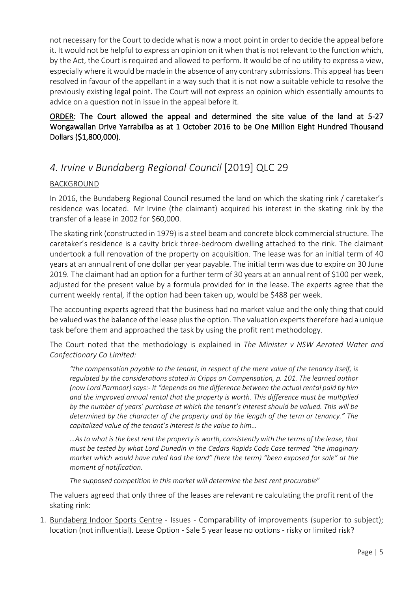<span id="page-4-0"></span>not necessary for the Court to decide what is now a moot point in order to decide the appeal before it. It would not be helpful to express an opinion on it when that is not relevant to the function which, by the Act, the Court is required and allowed to perform. It would be of no utility to express a view, especially where it would be made in the absence of any contrary submissions. This appeal has been resolved in favour of the appellant in a way such that it is not now a suitable vehicle to resolve the previously existing legal point. The Court will not express an opinion which essentially amounts to advice on a question not in issue in the appeal before it.

# ORDER: The Court allowed the appeal and determined the site value of the land at 5-27 Wongawallan Drive Yarrabilba as at 1 October 2016 to be One Million Eight Hundred Thousand Dollars (\$1,800,000).

# *4. Irvine v Bundaberg Regional Council* [2019] QLC 29

## BACKGROUND

In 2016, the Bundaberg Regional Council resumed the land on which the skating rink / caretaker's residence was located. Mr Irvine (the claimant) acquired his interest in the skating rink by the transfer of a lease in 2002 for \$60,000.

The skating rink (constructed in 1979) is a steel beam and concrete block commercial structure. The caretaker's residence is a cavity brick three-bedroom dwelling attached to the rink. The claimant undertook a full renovation of the property on acquisition. The lease was for an initial term of 40 years at an annual rent of one dollar per year payable. The initial term was due to expire on 30 June 2019. The claimant had an option for a further term of 30 years at an annual rent of \$100 per week, adjusted for the present value by a formula provided for in the lease. The experts agree that the current weekly rental, if the option had been taken up, would be \$488 per week.

The accounting experts agreed that the business had no market value and the only thing that could be valued was the balance of the lease plus the option. The valuation experts therefore had a unique task before them and approached the task by using the profit rent methodology.

The Court noted that the methodology is explained in *The Minister v NSW Aerated Water and Confectionary Co Limited:*

*"the compensation payable to the tenant, in respect of the mere value of the tenancy itself, is regulated by the considerations stated in Cripps on Compensation, p. 101. The learned author (now Lord Parmoor) says:- It "depends on the difference between the actual rental paid by him and the improved annual rental that the property is worth. This difference must be multiplied by the number of years' purchase at which the tenant's interest should be valued. This will be determined by the character of the property and by the length of the term or tenancy." The capitalized value of the tenant's interest is the value to him…*

*…As to what is the best rent the property is worth, consistently with the terms of the lease, that must be tested by what Lord Dunedin in the Cedars Rapids Cods Case termed "the imaginary market which would have ruled had the land" (here the term) "been exposed for sale" at the moment of notification.*

*The supposed competition in this market will determine the best rent procurable*"

The valuers agreed that only three of the leases are relevant re calculating the profit rent of the skating rink:

1. Bundaberg Indoor Sports Centre - Issues - Comparability of improvements (superior to subject); location (not influential). Lease Option - Sale 5 year lease no options - risky or limited risk?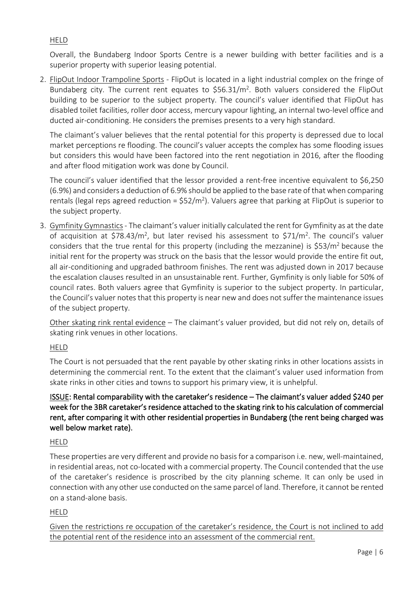# HELD

Overall, the Bundaberg Indoor Sports Centre is a newer building with better facilities and is a superior property with superior leasing potential.

2. FlipOut Indoor Trampoline Sports - FlipOut is located in a light industrial complex on the fringe of Bundaberg city. The current rent equates to \$56.31/m2. Both valuers considered the FlipOut building to be superior to the subject property. The council's valuer identified that FlipOut has disabled toilet facilities, roller door access, mercury vapour lighting, an internal two-level office and ducted air-conditioning. He considers the premises presents to a very high standard.

The claimant's valuer believes that the rental potential for this property is depressed due to local market perceptions re flooding. The council's valuer accepts the complex has some flooding issues but considers this would have been factored into the rent negotiation in 2016, after the flooding and after flood mitigation work was done by Council.

The council's valuer identified that the lessor provided a rent-free incentive equivalent to \$6,250 (6.9%) and considers a deduction of 6.9% should be applied to the base rate of that when comparing rentals (legal reps agreed reduction =  $$52/m<sup>2</sup>$ ). Valuers agree that parking at FlipOut is superior to the subject property.

3. Gymfinity Gymnastics- The claimant's valuer initially calculated the rent for Gymfinity as at the date of acquisition at \$78.43/m<sup>2</sup>, but later revised his assessment to \$71/m<sup>2</sup>. The council's valuer considers that the true rental for this property (including the mezzanine) is  $$53/m<sup>2</sup>$  because the initial rent for the property was struck on the basis that the lessor would provide the entire fit out, all air-conditioning and upgraded bathroom finishes. The rent was adjusted down in 2017 because the escalation clauses resulted in an unsustainable rent. Further, Gymfinity is only liable for 50% of council rates. Both valuers agree that Gymfinity is superior to the subject property. In particular, the Council's valuer notes that this property is near new and does not suffer the maintenance issues of the subject property.

Other skating rink rental evidence – The claimant's valuer provided, but did not rely on, details of skating rink venues in other locations.

#### HELD

The Court is not persuaded that the rent payable by other skating rinks in other locations assists in determining the commercial rent. To the extent that the claimant's valuer used information from skate rinks in other cities and towns to support his primary view, it is unhelpful.

# ISSUE: Rental comparability with the caretaker's residence – The claimant's valuer added \$240 per week for the 3BR caretaker's residence attached to the skating rink to his calculation of commercial rent, after comparing it with other residential properties in Bundaberg (the rent being charged was well below market rate).

# HELD

These properties are very different and provide no basis for a comparison i.e. new, well-maintained, in residential areas, not co-located with a commercial property. The Council contended that the use of the caretaker's residence is proscribed by the city planning scheme. It can only be used in connection with any other use conducted on the same parcel of land. Therefore, it cannot be rented on a stand-alone basis.

#### HELD

Given the restrictions re occupation of the caretaker's residence, the Court is not inclined to add the potential rent of the residence into an assessment of the commercial rent.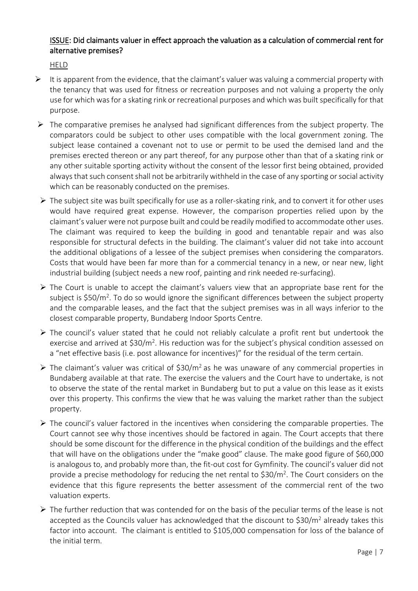#### ISSUE: Did claimants valuer in effect approach the valuation as a calculation of commercial rent for alternative premises?

**HELD** 

- $\triangleright$  It is apparent from the evidence, that the claimant's valuer was valuing a commercial property with the tenancy that was used for fitness or recreation purposes and not valuing a property the only use for which was for a skating rink or recreational purposes and which was built specifically for that purpose.
- $\triangleright$  The comparative premises he analysed had significant differences from the subject property. The comparators could be subject to other uses compatible with the local government zoning. The subject lease contained a covenant not to use or permit to be used the demised land and the premises erected thereon or any part thereof, for any purpose other than that of a skating rink or any other suitable sporting activity without the consent of the lessor first being obtained, provided always that such consent shall not be arbitrarily withheld in the case of any sporting or social activity which can be reasonably conducted on the premises.
- $\triangleright$  The subject site was built specifically for use as a roller-skating rink, and to convert it for other uses would have required great expense. However, the comparison properties relied upon by the claimant's valuer were not purpose built and could be readily modified to accommodate other uses. The claimant was required to keep the building in good and tenantable repair and was also responsible for structural defects in the building. The claimant's valuer did not take into account the additional obligations of a lessee of the subject premises when considering the comparators. Costs that would have been far more than for a commercial tenancy in a new, or near new, light industrial building (subject needs a new roof, painting and rink needed re-surfacing).
- $\triangleright$  The Court is unable to accept the claimant's valuers view that an appropriate base rent for the subject is \$50/m<sup>2</sup>. To do so would ignore the significant differences between the subject property and the comparable leases, and the fact that the subject premises was in all ways inferior to the closest comparable property, Bundaberg Indoor Sports Centre.
- $\triangleright$  The council's valuer stated that he could not reliably calculate a profit rent but undertook the exercise and arrived at  $$30/m^2$ . His reduction was for the subject's physical condition assessed on a "net effective basis (i.e. post allowance for incentives)" for the residual of the term certain.
- $\triangleright$  The claimant's valuer was critical of \$30/m<sup>2</sup> as he was unaware of any commercial properties in Bundaberg available at that rate. The exercise the valuers and the Court have to undertake, is not to observe the state of the rental market in Bundaberg but to put a value on this lease as it exists over this property. This confirms the view that he was valuing the market rather than the subject property.
- $\triangleright$  The council's valuer factored in the incentives when considering the comparable properties. The Court cannot see why those incentives should be factored in again. The Court accepts that there should be some discount for the difference in the physical condition of the buildings and the effect that will have on the obligations under the "make good" clause. The make good figure of \$60,000 is analogous to, and probably more than, the fit-out cost for Gymfinity. The council's valuer did not provide a precise methodology for reducing the net rental to  $$30/m<sup>2</sup>$ . The Court considers on the evidence that this figure represents the better assessment of the commercial rent of the two valuation experts.
- $\triangleright$  The further reduction that was contended for on the basis of the peculiar terms of the lease is not accepted as the Councils valuer has acknowledged that the discount to  $$30/m<sup>2</sup>$  already takes this factor into account. The claimant is entitled to \$105,000 compensation for loss of the balance of the initial term.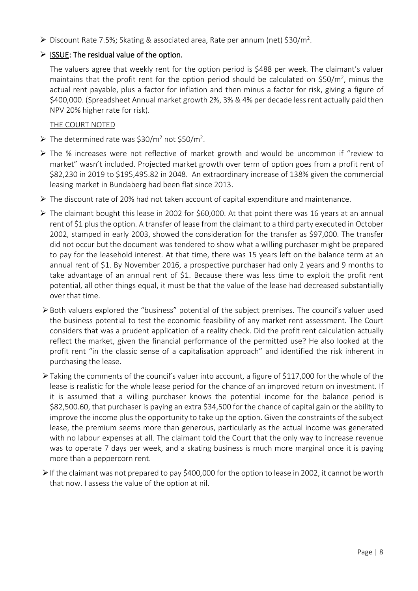$\triangleright$  Discount Rate 7.5%; Skating & associated area, Rate per annum (net) \$30/m<sup>2</sup>.

## $\triangleright$  ISSUE: The residual value of the option.

The valuers agree that weekly rent for the option period is \$488 per week. The claimant's valuer maintains that the profit rent for the option period should be calculated on  $$50/m^2$ , minus the actual rent payable, plus a factor for inflation and then minus a factor for risk, giving a figure of \$400,000. (Spreadsheet Annual market growth 2%, 3% & 4% per decade less rent actually paid then NPV 20% higher rate for risk).

#### THE COURT NOTED

- The determined rate was  $$30/m<sup>2</sup>$  not  $$50/m<sup>2</sup>$ .
- $\triangleright$  The % increases were not reflective of market growth and would be uncommon if "review to market" wasn't included. Projected market growth over term of option goes from a profit rent of \$82,230 in 2019 to \$195,495.82 in 2048. An extraordinary increase of 138% given the commercial leasing market in Bundaberg had been flat since 2013.
- The discount rate of 20% had not taken account of capital expenditure and maintenance.
- $\triangleright$  The claimant bought this lease in 2002 for \$60,000. At that point there was 16 years at an annual rent of \$1 plus the option. A transfer of lease from the claimant to a third party executed in October 2002, stamped in early 2003, showed the consideration for the transfer as \$97,000. The transfer did not occur but the document was tendered to show what a willing purchaser might be prepared to pay for the leasehold interest. At that time, there was 15 years left on the balance term at an annual rent of \$1. By November 2016, a prospective purchaser had only 2 years and 9 months to take advantage of an annual rent of \$1. Because there was less time to exploit the profit rent potential, all other things equal, it must be that the value of the lease had decreased substantially over that time.
- Both valuers explored the "business" potential of the subject premises. The council's valuer used the business potential to test the economic feasibility of any market rent assessment. The Court considers that was a prudent application of a reality check. Did the profit rent calculation actually reflect the market, given the financial performance of the permitted use? He also looked at the profit rent "in the classic sense of a capitalisation approach" and identified the risk inherent in purchasing the lease.
- $\triangleright$  Taking the comments of the council's valuer into account, a figure of \$117,000 for the whole of the lease is realistic for the whole lease period for the chance of an improved return on investment. If it is assumed that a willing purchaser knows the potential income for the balance period is \$82,500.60, that purchaser is paying an extra \$34,500 for the chance of capital gain or the ability to improve the income plus the opportunity to take up the option. Given the constraints of the subject lease, the premium seems more than generous, particularly as the actual income was generated with no labour expenses at all. The claimant told the Court that the only way to increase revenue was to operate 7 days per week, and a skating business is much more marginal once it is paying more than a peppercorn rent.
- $\triangleright$  If the claimant was not prepared to pay \$400,000 for the option to lease in 2002, it cannot be worth that now. I assess the value of the option at nil.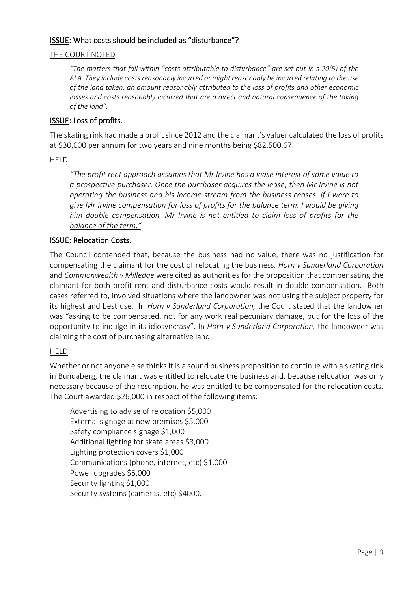#### ISSUE: What costs should be included as "disturbance"?

#### THE COURT NOTED

*"The matters that fall within "costs attributable to disturbance" are set out in s 20(5) of the ALA. They include costs reasonably incurred or might reasonably be incurred relating to the use of the land taken, an amount reasonably attributed to the loss of profits and other economic losses and costs reasonably incurred that are a direct and natural consequence of the taking of the land".* 

#### ISSUE: Loss of profits.

The skating rink had made a profit since 2012 and the claimant's valuer calculated the loss of profits at \$30,000 per annum for two years and nine months being \$82,500.67.

#### HELD

*"The profit rent approach assumes that Mr Irvine has a lease interest of some value to a prospective purchaser. Once the purchaser acquires the lease, then Mr Irvine is not operating the business and his income stream from the business ceases. If I were to give Mr Irvine compensation for loss of profits for the balance term, I would be giving him double compensation. Mr Irvine is not entitled to claim loss of profits for the balance of the term."*

#### ISSUE: Relocation Costs.

The Council contended that, because the business had no value, there was no justification for compensating the claimant for the cost of relocating the business. *Horn v Sunderland Corporation* and *Commonwealth v Milledge* were cited as authorities for the proposition that compensating the claimant for both profit rent and disturbance costs would result in double compensation. Both cases referred to, involved situations where the landowner was not using the subject property for its highest and best use. In *Horn v Sunderland Corporation,* the Court stated that the landowner was "asking to be compensated, not for any work real pecuniary damage, but for the loss of the opportunity to indulge in its idiosyncrasy". In *Horn v Sunderland Corporation,* the landowner was claiming the cost of purchasing alternative land.

#### HELD

Whether or not anyone else thinks it is a sound business proposition to continue with a skating rink in Bundaberg, the claimant was entitled to relocate the business and, because relocation was only necessary because of the resumption, he was entitled to be compensated for the relocation costs. The Court awarded \$26,000 in respect of the following items:

Advertising to advise of relocation \$5,000 External signage at new premises \$5,000 Safety compliance signage \$1,000 Additional lighting for skate areas \$3,000 Lighting protection covers \$1,000 Communications (phone, internet, etc) \$1,000 Power upgrades \$5,000 Security lighting \$1,000 Security systems (cameras, etc) \$4000.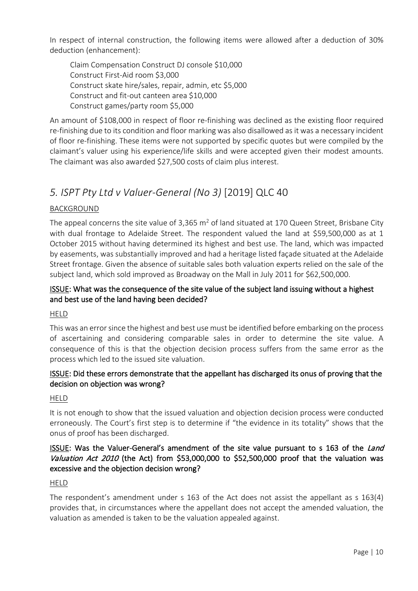<span id="page-9-0"></span>In respect of internal construction, the following items were allowed after a deduction of 30% deduction (enhancement):

Claim Compensation Construct DJ console \$10,000 Construct First-Aid room \$3,000 Construct skate hire/sales, repair, admin, etc \$5,000 Construct and fit-out canteen area \$10,000 Construct games/party room \$5,000

An amount of \$108,000 in respect of floor re-finishing was declined as the existing floor required re-finishing due to its condition and floor marking was also disallowed as it was a necessary incident of floor re-finishing. These items were not supported by specific quotes but were compiled by the claimant's valuer using his experience/life skills and were accepted given their modest amounts. The claimant was also awarded \$27,500 costs of claim plus interest.

# *5. ISPT Pty Ltd v Valuer-General (No 3)* [2019] QLC 40

## BACKGROUND

The appeal concerns the site value of 3,365  $m^2$  of land situated at 170 Queen Street, Brisbane City with dual frontage to Adelaide Street. The respondent valued the land at \$59,500,000 as at 1 October 2015 without having determined its highest and best use. The land, which was impacted by easements, was substantially improved and had a heritage listed façade situated at the Adelaide Street frontage. Given the absence of suitable sales both valuation experts relied on the sale of the subject land, which sold improved as Broadway on the Mall in July 2011 for \$62,500,000.

## ISSUE: What was the consequence of the site value of the subject land issuing without a highest and best use of the land having been decided?

HELD

This was an error since the highest and best use must be identified before embarking on the process of ascertaining and considering comparable sales in order to determine the site value. A consequence of this is that the objection decision process suffers from the same error as the process which led to the issued site valuation.

# ISSUE: Did these errors demonstrate that the appellant has discharged its onus of proving that the decision on objection was wrong?

HELD

It is not enough to show that the issued valuation and objection decision process were conducted erroneously. The Court's first step is to determine if "the evidence in its totality" shows that the onus of proof has been discharged.

## **ISSUE:** Was the Valuer-General's amendment of the site value pursuant to s 163 of the Land Valuation Act 2010 (the Act) from \$53,000,000 to \$52,500,000 proof that the valuation was excessive and the objection decision wrong?

#### HELD

The respondent's amendment under s 163 of the Act does not assist the appellant as s 163(4) provides that, in circumstances where the appellant does not accept the amended valuation, the valuation as amended is taken to be the valuation appealed against.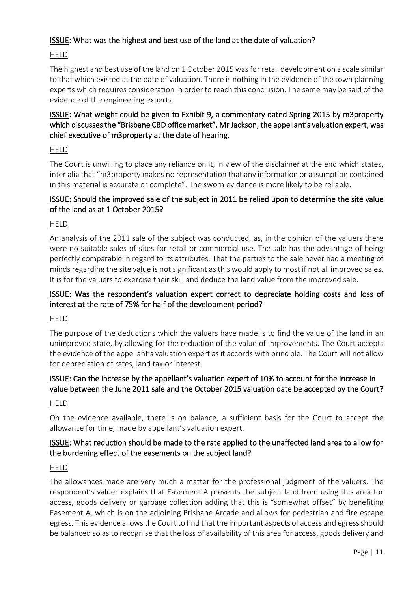## ISSUE: What was the highest and best use of the land at the date of valuation?

#### HELD

The highest and best use of the land on 1 October 2015 was for retail development on a scale similar to that which existed at the date of valuation. There is nothing in the evidence of the town planning experts which requires consideration in order to reach this conclusion. The same may be said of the evidence of the engineering experts.

## ISSUE: What weight could be given to Exhibit 9, a commentary dated Spring 2015 by m3property which discusses the "Brisbane CBD office market". Mr Jackson, the appellant's valuation expert, was chief executive of m3property at the date of hearing.

#### HELD

The Court is unwilling to place any reliance on it, in view of the disclaimer at the end which states, inter alia that "m3property makes no representation that any information or assumption contained in this material is accurate or complete". The sworn evidence is more likely to be reliable.

## ISSUE: Should the improved sale of the subject in 2011 be relied upon to determine the site value of the land as at 1 October 2015?

#### HELD

An analysis of the 2011 sale of the subject was conducted, as, in the opinion of the valuers there were no suitable sales of sites for retail or commercial use. The sale has the advantage of being perfectly comparable in regard to its attributes. That the parties to the sale never had a meeting of minds regarding the site value is not significant as this would apply to most if not all improved sales. It is for the valuers to exercise their skill and deduce the land value from the improved sale.

#### ISSUE: Was the respondent's valuation expert correct to depreciate holding costs and loss of interest at the rate of 75% for half of the development period?

#### HELD

The purpose of the deductions which the valuers have made is to find the value of the land in an unimproved state, by allowing for the reduction of the value of improvements. The Court accepts the evidence of the appellant's valuation expert as it accords with principle. The Court will not allow for depreciation of rates, land tax or interest.

## ISSUE: Can the increase by the appellant's valuation expert of 10% to account for the increase in value between the June 2011 sale and the October 2015 valuation date be accepted by the Court?

#### HELD

On the evidence available, there is on balance, a sufficient basis for the Court to accept the allowance for time, made by appellant's valuation expert.

#### ISSUE: What reduction should be made to the rate applied to the unaffected land area to allow for the burdening effect of the easements on the subject land?

#### HELD

The allowances made are very much a matter for the professional judgment of the valuers. The respondent's valuer explains that Easement A prevents the subject land from using this area for access, goods delivery or garbage collection adding that this is "somewhat offset" by benefiting Easement A, which is on the adjoining Brisbane Arcade and allows for pedestrian and fire escape egress. This evidence allows the Court to find that the important aspects of access and egress should be balanced so as to recognise that the loss of availability of this area for access, goods delivery and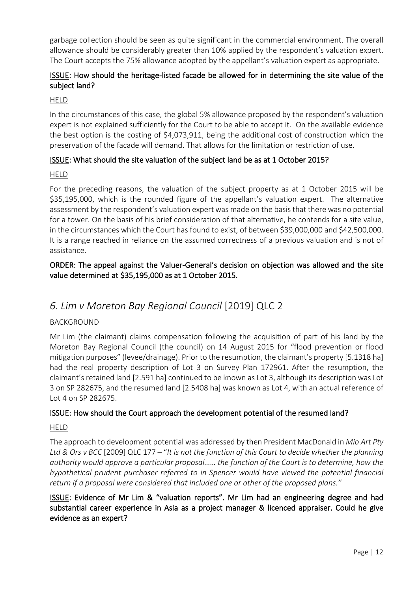<span id="page-11-0"></span>garbage collection should be seen as quite significant in the commercial environment. The overall allowance should be considerably greater than 10% applied by the respondent's valuation expert. The Court accepts the 75% allowance adopted by the appellant's valuation expert as appropriate.

## ISSUE: How should the heritage-listed facade be allowed for in determining the site value of the subject land?

#### HELD

In the circumstances of this case, the global 5% allowance proposed by the respondent's valuation expert is not explained sufficiently for the Court to be able to accept it. On the available evidence the best option is the costing of \$4,073,911, being the additional cost of construction which the preservation of the facade will demand. That allows for the limitation or restriction of use.

## ISSUE: What should the site valuation of the subject land be as at 1 October 2015?

#### HELD

For the preceding reasons, the valuation of the subject property as at 1 October 2015 will be \$35,195,000, which is the rounded figure of the appellant's valuation expert. The alternative assessment by the respondent's valuation expert was made on the basis that there was no potential for a tower. On the basis of his brief consideration of that alternative, he contends for a site value, in the circumstances which the Court has found to exist, of between \$39,000,000 and \$42,500,000. It is a range reached in reliance on the assumed correctness of a previous valuation and is not of assistance.

# ORDER: The appeal against the Valuer-General's decision on objection was allowed and the site value determined at \$35,195,000 as at 1 October 2015.

# *6. Lim v Moreton Bay Regional Council* [2019] QLC 2

#### BACKGROUND

Mr Lim (the claimant) claims compensation following the acquisition of part of his land by the Moreton Bay Regional Council (the council) on 14 August 2015 for "flood prevention or flood mitigation purposes" (levee/drainage). Prior to the resumption, the claimant's property [5.1318 ha] had the real property description of Lot 3 on Survey Plan 172961. After the resumption, the claimant's retained land [2.591 ha] continued to be known as Lot 3, although its description was Lot 3 on SP 282675, and the resumed land [2.5408 ha] was known as Lot 4, with an actual reference of Lot 4 on SP 282675.

#### ISSUE: How should the Court approach the development potential of the resumed land?

#### HELD

The approach to development potential was addressed by then President MacDonald in *Mio Art Pty Ltd & Ors v BCC* [2009] QLC 177 – "*It is not the function of this Court to decide whether the planning authority would approve a particular proposal…… the function of the Court is to determine, how the hypothetical prudent purchaser referred to in Spencer would have viewed the potential financial return if a proposal were considered that included one or other of the proposed plans."*

## ISSUE: Evidence of Mr Lim & "valuation reports". Mr Lim had an engineering degree and had substantial career experience in Asia as a project manager & licenced appraiser. Could he give evidence as an expert?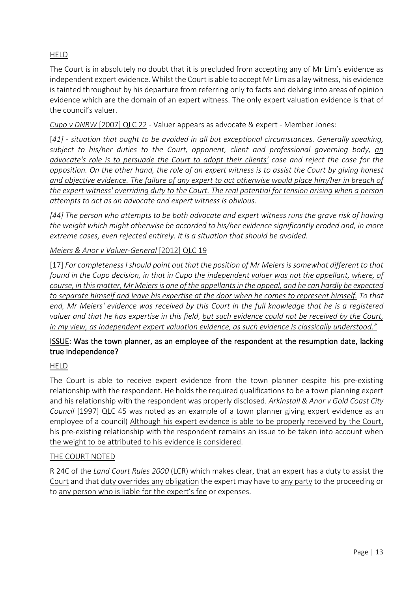## HELD

The Court is in absolutely no doubt that it is precluded from accepting any of Mr Lim's evidence as independent expert evidence. Whilst the Court is able to accept Mr Lim as a lay witness, his evidence is tainted throughout by his departure from referring only to facts and delving into areas of opinion evidence which are the domain of an expert witness. The only expert valuation evidence is that of the council's valuer.

*Cupo v DNRW* [2007] QLC 22 - Valuer appears as advocate & expert - Member Jones:

[*41] - situation that ought to be avoided in all but exceptional circumstances. Generally speaking, subject to his/her duties to the Court, opponent, client and professional governing body, an advocate's role is to persuade the Court to adopt their clients' case and reject the case for the opposition. On the other hand, the role of an expert witness is to assist the Court by giving honest and objective evidence. The failure of any expert to act otherwise would place him/her in breach of the expert witness' overriding duty to the Court. The real potential for tension arising when a person attempts to act as an advocate and expert witness is obvious.*

*[44] The person who attempts to be both advocate and expert witness runs the grave risk of having the weight which might otherwise be accorded to his/her evidence significantly eroded and, in more extreme cases, even rejected entirely. It is a situation that should be avoided.*

#### *Meiers & Anor v Valuer-General* [2012] QLC 19

[17] *For completeness I should point out that the position of Mr Meiers is somewhat different to that found in the Cupo decision, in that in Cupo the independent valuer was not the appellant, where, of course, in this matter, Mr Meiers is one of the appellants in the appeal, and he can hardly be expected to separate himself and leave his expertise at the door when he comes to represent himself. To that end, Mr Meiers' evidence was received by this Court in the full knowledge that he is a registered valuer and that he has expertise in this field, but such evidence could not be received by the Court, in my view, as independent expert valuation evidence, as such evidence is classically understood."*

## ISSUE: Was the town planner, as an employee of the respondent at the resumption date, lacking true independence?

#### HELD

The Court is able to receive expert evidence from the town planner despite his pre-existing relationship with the respondent. He holds the required qualifications to be a town planning expert and his relationship with the respondent was properly disclosed. *Arkinstall & Anor v Gold Coast City Council* [1997] QLC 45 was noted as an example of a town planner giving expert evidence as an employee of a council) Although his expert evidence is able to be properly received by the Court, his pre-existing relationship with the respondent remains an issue to be taken into account when the weight to be attributed to his evidence is considered.

#### THE COURT NOTED

R 24C of the *Land Court Rules 2000* (LCR) which makes clear, that an expert has a duty to assist the Court and that duty overrides any obligation the expert may have to any party to the proceeding or to any person who is liable for the expert's fee or expenses.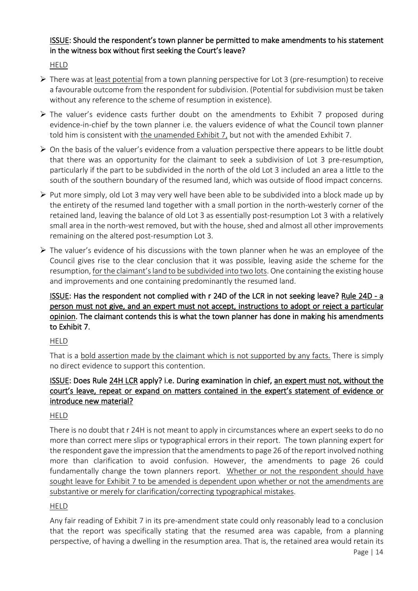# ISSUE: Should the respondent's town planner be permitted to make amendments to his statement in the witness box without first seeking the Court's leave?

HELD

- $\triangleright$  There was at least potential from a town planning perspective for Lot 3 (pre-resumption) to receive a favourable outcome from the respondent for subdivision. (Potential for subdivision must be taken without any reference to the scheme of resumption in existence).
- $\triangleright$  The valuer's evidence casts further doubt on the amendments to Exhibit 7 proposed during evidence-in-chief by the town planner i.e. the valuers evidence of what the Council town planner told him is consistent with the unamended Exhibit 7, but not with the amended Exhibit 7.
- $\triangleright$  On the basis of the valuer's evidence from a valuation perspective there appears to be little doubt that there was an opportunity for the claimant to seek a subdivision of Lot 3 pre-resumption, particularly if the part to be subdivided in the north of the old Lot 3 included an area a little to the south of the southern boundary of the resumed land, which was outside of flood impact concerns.
- $\triangleright$  Put more simply, old Lot 3 may very well have been able to be subdivided into a block made up by the entirety of the resumed land together with a small portion in the north-westerly corner of the retained land, leaving the balance of old Lot 3 as essentially post-resumption Lot 3 with a relatively small area in the north-west removed, but with the house, shed and almost all other improvements remaining on the altered post-resumption Lot 3.
- $\triangleright$  The valuer's evidence of his discussions with the town planner when he was an employee of the Council gives rise to the clear conclusion that it was possible, leaving aside the scheme for the resumption, for the claimant's land to be subdivided into two lots. One containing the existing house and improvements and one containing predominantly the resumed land.

# ISSUE: Has the respondent not complied with r 24D of the LCR in not seeking leave? Rule 24D - a person must not give, and an expert must not accept, instructions to adopt or reject a particular opinion. The claimant contends this is what the town planner has done in making his amendments to Exhibit 7.

HELD

That is a bold assertion made by the claimant which is not supported by any facts. There is simply no direct evidence to support this contention.

# ISSUE: Does Rule 24H LCR apply? i.e. During examination in chief, an expert must not, without the court's leave, repeat or expand on matters contained in the expert's statement of evidence or introduce new material?

# HELD

There is no doubt that r 24H is not meant to apply in circumstances where an expert seeks to do no more than correct mere slips or typographical errors in their report. The town planning expert for the respondent gave the impression that the amendments to page 26 of the report involved nothing more than clarification to avoid confusion. However, the amendments to page 26 could fundamentally change the town planners report. Whether or not the respondent should have sought leave for Exhibit 7 to be amended is dependent upon whether or not the amendments are substantive or merely for clarification/correcting typographical mistakes.

# HELD

Any fair reading of Exhibit 7 in its pre-amendment state could only reasonably lead to a conclusion that the report was specifically stating that the resumed area was capable, from a planning perspective, of having a dwelling in the resumption area. That is, the retained area would retain its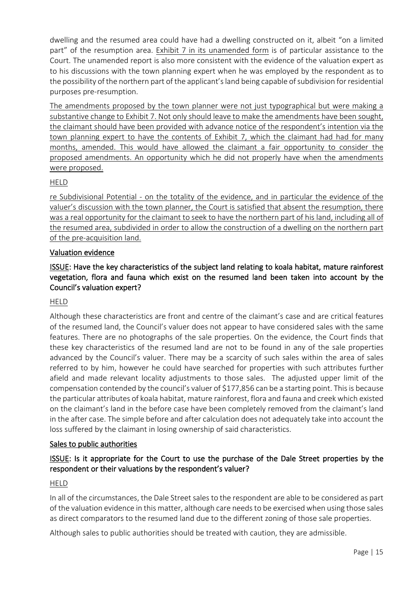dwelling and the resumed area could have had a dwelling constructed on it, albeit "on a limited part" of the resumption area. Exhibit 7 in its unamended form is of particular assistance to the Court. The unamended report is also more consistent with the evidence of the valuation expert as to his discussions with the town planning expert when he was employed by the respondent as to the possibility of the northern part of the applicant'sland being capable of subdivision for residential purposes pre-resumption.

The amendments proposed by the town planner were not just typographical but were making a substantive change to Exhibit 7. Not only should leave to make the amendments have been sought, the claimant should have been provided with advance notice of the respondent's intention via the town planning expert to have the contents of Exhibit 7, which the claimant had had for many months, amended. This would have allowed the claimant a fair opportunity to consider the proposed amendments. An opportunity which he did not properly have when the amendments were proposed.

#### HELD

re Subdivisional Potential - on the totality of the evidence, and in particular the evidence of the valuer's discussion with the town planner, the Court is satisfied that absent the resumption, there was a real opportunity for the claimant to seek to have the northern part of his land, including all of the resumed area, subdivided in order to allow the construction of a dwelling on the northern part of the pre-acquisition land.

#### Valuation evidence

## ISSUE: Have the key characteristics of the subject land relating to koala habitat, mature rainforest vegetation, flora and fauna which exist on the resumed land been taken into account by the Council's valuation expert?

#### HELD

Although these characteristics are front and centre of the claimant's case and are critical features of the resumed land, the Council's valuer does not appear to have considered sales with the same features. There are no photographs of the sale properties. On the evidence, the Court finds that these key characteristics of the resumed land are not to be found in any of the sale properties advanced by the Council's valuer. There may be a scarcity of such sales within the area of sales referred to by him, however he could have searched for properties with such attributes further afield and made relevant locality adjustments to those sales. The adjusted upper limit of the compensation contended by the council's valuer of \$177,856 can be a starting point. This is because the particular attributes of koala habitat, mature rainforest, flora and fauna and creek which existed on the claimant's land in the before case have been completely removed from the claimant's land in the after case. The simple before and after calculation does not adequately take into account the loss suffered by the claimant in losing ownership of said characteristics.

#### Sales to public authorities

## ISSUE: Is it appropriate for the Court to use the purchase of the Dale Street properties by the respondent or their valuations by the respondent's valuer?

#### HELD

In all of the circumstances, the Dale Street sales to the respondent are able to be considered as part of the valuation evidence in this matter, although care needs to be exercised when using those sales as direct comparators to the resumed land due to the different zoning of those sale properties.

Although sales to public authorities should be treated with caution, they are admissible.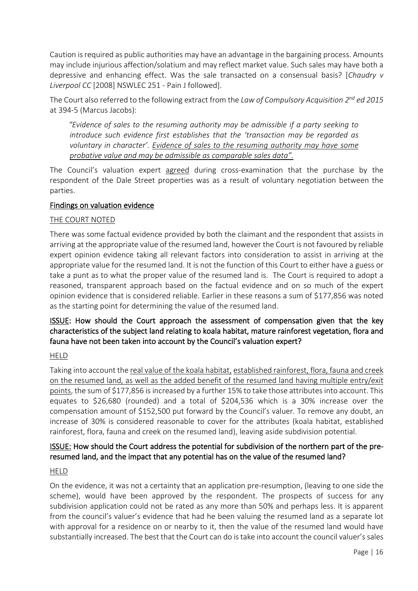Caution is required as public authorities may have an advantage in the bargaining process. Amounts may include injurious affection/solatium and may reflect market value. Such sales may have both a depressive and enhancing effect. Was the sale transacted on a consensual basis? [*Chaudry v Liverpool CC* [2008] NSWLEC 251 - Pain J followed].

The Court also referred to the following extract from the *Law of Compulsory Acquisition 2nd ed 2015* at 394-5 (Marcus Jacobs):

 *"Evidence of sales to the resuming authority may be admissible if a party seeking to introduce such evidence first establishes that the 'transaction may be regarded as voluntary in character'. Evidence of sales to the resuming authority may have some probative value and may be admissible as comparable sales data".*

The Council's valuation expert agreed during cross-examination that the purchase by the respondent of the Dale Street properties was as a result of voluntary negotiation between the parties.

#### Findings on valuation evidence

#### THE COURT NOTED

There was some factual evidence provided by both the claimant and the respondent that assists in arriving at the appropriate value of the resumed land, however the Court is not favoured by reliable expert opinion evidence taking all relevant factors into consideration to assist in arriving at the appropriate value for the resumed land. It is not the function of this Court to either have a guess or take a punt as to what the proper value of the resumed land is. The Court is required to adopt a reasoned, transparent approach based on the factual evidence and on so much of the expert opinion evidence that is considered reliable. Earlier in these reasons a sum of \$177,856 was noted as the starting point for determining the value of the resumed land.

## ISSUE: How should the Court approach the assessment of compensation given that the key characteristics of the subject land relating to koala habitat, mature rainforest vegetation, flora and fauna have not been taken into account by the Council's valuation expert?

#### HELD

Taking into account the real value of the koala habitat, established rainforest, flora, fauna and creek on the resumed land, as well as the added benefit of the resumed land having multiple entry/exit points, the sum of \$177,856 is increased by a further 15% to take those attributes into account. This equates to \$26,680 (rounded) and a total of \$204,536 which is a 30% increase over the compensation amount of \$152,500 put forward by the Council's valuer. To remove any doubt, an increase of 30% is considered reasonable to cover for the attributes (koala habitat, established rainforest, flora, fauna and creek on the resumed land), leaving aside subdivision potential.

## ISSUE: How should the Court address the potential for subdivision of the northern part of the preresumed land, and the impact that any potential has on the value of the resumed land?

#### HELD

On the evidence, it was not a certainty that an application pre-resumption, (leaving to one side the scheme), would have been approved by the respondent. The prospects of success for any subdivision application could not be rated as any more than 50% and perhaps less. It is apparent from the council's valuer's evidence that had he been valuing the resumed land as a separate lot with approval for a residence on or nearby to it, then the value of the resumed land would have substantially increased. The best that the Court can do is take into account the council valuer's sales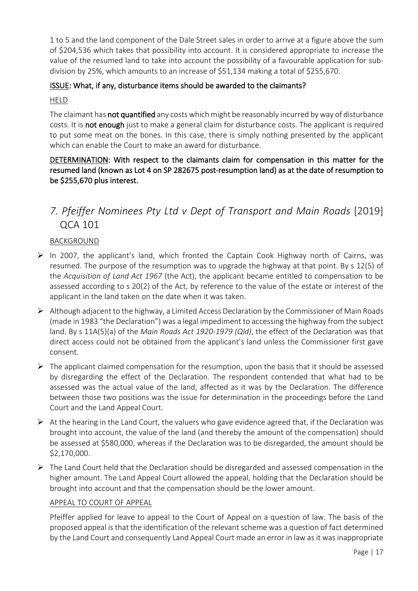<span id="page-16-0"></span>1 to 5 and the land component of the Dale Street sales in order to arrive at a figure above the sum of \$204,536 which takes that possibility into account. It is considered appropriate to increase the value of the resumed land to take into account the possibility of a favourable application for subdivision by 25%, which amounts to an increase of \$51,134 making a total of \$255,670.

## ISSUE: What, if any, disturbance items should be awarded to the claimants?

#### HELD

The claimant has not quantified any costs which might be reasonably incurred by way of disturbance costs. It is not enough just to make a general claim for disturbance costs. The applicant is required to put some meat on the bones. In this case, there is simply nothing presented by the applicant which can enable the Court to make an award for disturbance.

# DETERMINATION: With respect to the claimants claim for compensation in this matter for the resumed land (known as Lot 4 on SP 282675 post-resumption land) as at the date of resumption to be \$255,670 plus interest.

# *7. Pfeiffer Nominees Pty Ltd v Dept of Transport and Main Roads* [2019] QCA 101

#### BACKGROUND

- $\triangleright$  In 2007, the applicant's land, which fronted the Captain Cook Highway north of Cairns, was resumed. The purpose of the resumption was to upgrade the highway at that point. By s 12(5) of the *Acquisition of Land Act 1967* (the Act), the applicant became entitled to compensation to be assessed according to s 20(2) of the Act, by reference to the value of the estate or interest of the applicant in the land taken on the date when it was taken.
- $\triangleright$  Although adjacent to the highway, a Limited Access Declaration by the Commissioner of Main Roads (made in 1983 "the Declaration") was a legal impediment to accessing the highway from the subject land. By s 11A(5)(a) of the *Main Roads Act 1920-1979 (Qld)*, the effect of the Declaration was that direct access could not be obtained from the applicant's land unless the Commissioner first gave consent.
- $\triangleright$  The applicant claimed compensation for the resumption, upon the basis that it should be assessed by disregarding the effect of the Declaration. The respondent contended that what had to be assessed was the actual value of the land, affected as it was by the Declaration. The difference between those two positions was the issue for determination in the proceedings before the Land Court and the Land Appeal Court.
- $\triangleright$  At the hearing in the Land Court, the valuers who gave evidence agreed that, if the Declaration was brought into account, the value of the land (and thereby the amount of the compensation) should be assessed at \$580,000, whereas if the Declaration was to be disregarded, the amount should be \$2,170,000.
- $\triangleright$  The Land Court held that the Declaration should be disregarded and assessed compensation in the higher amount. The Land Appeal Court allowed the appeal, holding that the Declaration should be brought into account and that the compensation should be the lower amount.

#### APPEAL TO COURT OF APPEAL

Pfeiffer applied for leave to appeal to the Court of Appeal on a question of law. The basis of the proposed appeal is that the identification of the relevant scheme was a question of fact determined by the Land Court and consequently Land Appeal Court made an error in law as it was inappropriate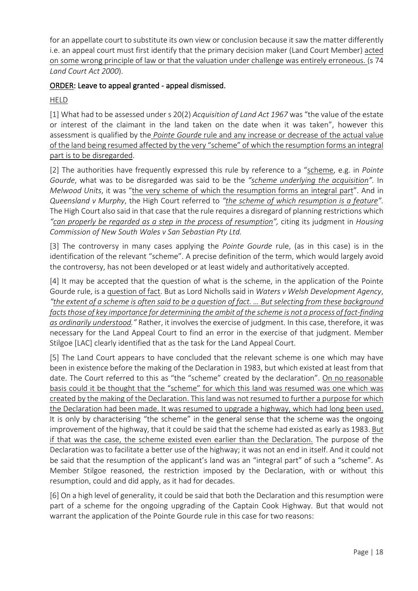for an appellate court to substitute its own view or conclusion because it saw the matter differently i.e. an appeal court must first identify that the primary decision maker (Land Court Member) acted on some wrong principle of law or that the valuation under challenge was entirely erroneous. (s 74 *Land Court Act 2000*).

## ORDER: Leave to appeal granted - appeal dismissed.

HELD

[1] What had to be assessed under s 20(2) *Acquisition of Land Act 1967* was "the value of the estate or interest of the claimant in the land taken on the date when it was taken", however this assessment is qualified by the *Pointe Gourde* rule and any increase or decrease of the actual value of the land being resumed affected by the very "scheme" of which the resumption forms an integral part is to be disregarded.

[2] The authorities have frequently expressed this rule by reference to a "scheme, e.g. in *Pointe Gourde*, what was to be disregarded was said to be the *"scheme underlying the acquisition".* In *Melwood Units*, it was "the very scheme of which the resumption forms an integral part". And in *Queensland v Murphy*, the High Court referred to *"the scheme of which resumption is a feature".*  The High Court also said in that case that the rule requires a disregard of planning restrictions which *"can properly be regarded as a step in the process of resumption",* citing its judgment in *Housing Commission of New South Wales v San Sebastian Pty Ltd.*

[3] The controversy in many cases applying the *Pointe Gourde* rule, (as in this case) is in the identification of the relevant "scheme". A precise definition of the term, which would largely avoid the controversy, has not been developed or at least widely and authoritatively accepted.

[4] It may be accepted that the question of what is the scheme, in the application of the Pointe Gourde rule, is a question of fact. But as Lord Nicholls said in *Waters v Welsh Development Agency*, *"the extent of a scheme is often said to be a question of fact. … But selecting from these background facts those of key importance for determining the ambit of the scheme is not a process of fact-finding as ordinarily understood."* Rather, it involves the exercise of judgment. In this case, therefore, it was necessary for the Land Appeal Court to find an error in the exercise of that judgment. Member Stilgoe [LAC] clearly identified that as the task for the Land Appeal Court.

[5] The Land Court appears to have concluded that the relevant scheme is one which may have been in existence before the making of the Declaration in 1983, but which existed at least from that date. The Court referred to this as "the "scheme" created by the declaration". On no reasonable basis could it be thought that the "scheme" for which this land was resumed was one which was created by the making of the Declaration. This land was not resumed to further a purpose for which the Declaration had been made. It was resumed to upgrade a highway, which had long been used. It is only by characterising "the scheme" in the general sense that the scheme was the ongoing improvement of the highway, that it could be said that the scheme had existed as early as 1983. But if that was the case, the scheme existed even earlier than the Declaration. The purpose of the Declaration was to facilitate a better use of the highway; it was not an end in itself. And it could not be said that the resumption of the applicant's land was an "integral part" of such a "scheme". As Member Stilgoe reasoned, the restriction imposed by the Declaration, with or without this resumption, could and did apply, as it had for decades.

[6] On a high level of generality, it could be said that both the Declaration and this resumption were part of a scheme for the ongoing upgrading of the Captain Cook Highway. But that would not warrant the application of the Pointe Gourde rule in this case for two reasons: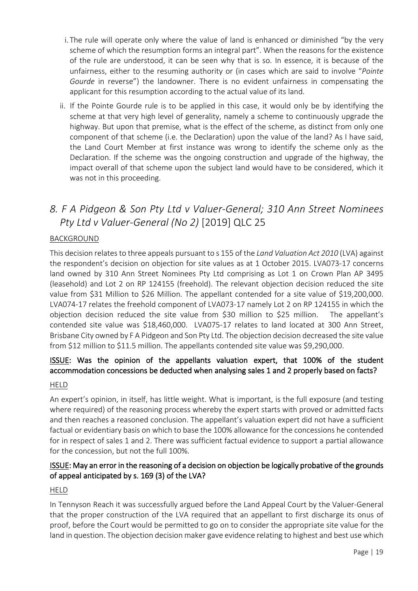- <span id="page-18-0"></span>i. The rule will operate only where the value of land is enhanced or diminished "by the very scheme of which the resumption forms an integral part". When the reasons for the existence of the rule are understood, it can be seen why that is so. In essence, it is because of the unfairness, either to the resuming authority or (in cases which are said to involve "*Pointe Gourde* in reverse") the landowner. There is no evident unfairness in compensating the applicant for this resumption according to the actual value of its land.
- ii. If the Pointe Gourde rule is to be applied in this case, it would only be by identifying the scheme at that very high level of generality, namely a scheme to continuously upgrade the highway. But upon that premise, what is the effect of the scheme, as distinct from only one component of that scheme (i.e. the Declaration) upon the value of the land? As I have said, the Land Court Member at first instance was wrong to identify the scheme only as the Declaration. If the scheme was the ongoing construction and upgrade of the highway, the impact overall of that scheme upon the subject land would have to be considered, which it was not in this proceeding.

# *8. F A Pidgeon & Son Pty Ltd v Valuer-General; 310 Ann Street Nominees Pty Ltd v Valuer-General (No 2)* [2019] QLC 25

## **BACKGROUND**

This decision relates to three appeals pursuant to s 155 of the *Land Valuation Act 2010* (LVA) against the respondent's decision on objection for site values as at 1 October 2015. LVA073-17 concerns land owned by 310 Ann Street Nominees Pty Ltd comprising as Lot 1 on Crown Plan AP 3495 (leasehold) and Lot 2 on RP 124155 (freehold). The relevant objection decision reduced the site value from \$31 Million to \$26 Million. The appellant contended for a site value of \$19,200,000. LVA074-17 relates the freehold component of LVA073-17 namely Lot 2 on RP 124155 in which the objection decision reduced the site value from \$30 million to \$25 million. The appellant's contended site value was \$18,460,000. LVA075-17 relates to land located at 300 Ann Street, Brisbane City owned by F A Pidgeon and Son Pty Ltd. The objection decision decreased the site value from \$12 million to \$11.5 million. The appellants contended site value was \$9,290,000.

# ISSUE: Was the opinion of the appellants valuation expert, that 100% of the student accommodation concessions be deducted when analysing sales 1 and 2 properly based on facts?

#### HELD

An expert's opinion, in itself, has little weight. What is important, is the full exposure (and testing where required) of the reasoning process whereby the expert starts with proved or admitted facts and then reaches a reasoned conclusion. The appellant's valuation expert did not have a sufficient factual or evidentiary basis on which to base the 100% allowance for the concessions he contended for in respect of sales 1 and 2. There was sufficient factual evidence to support a partial allowance for the concession, but not the full 100%.

#### ISSUE: May an error in the reasoning of a decision on objection be logically probative of the grounds of appeal anticipated by s. 169 (3) of the LVA?

#### HELD

In Tennyson Reach it was successfully argued before the Land Appeal Court by the Valuer-General that the proper construction of the LVA required that an appellant to first discharge its onus of proof, before the Court would be permitted to go on to consider the appropriate site value for the land in question. The objection decision maker gave evidence relating to highest and best use which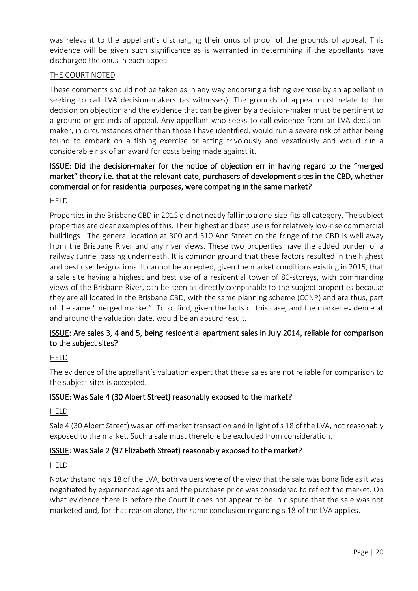was relevant to the appellant's discharging their onus of proof of the grounds of appeal. This evidence will be given such significance as is warranted in determining if the appellants have discharged the onus in each appeal.

#### **THE COURT NOTED**

These comments should not be taken as in any way endorsing a fishing exercise by an appellant in seeking to call LVA decision-makers (as witnesses). The grounds of appeal must relate to the decision on objection and the evidence that can be given by a decision-maker must be pertinent to a ground or grounds of appeal. Any appellant who seeks to call evidence from an LVA decisionmaker, in circumstances other than those I have identified, would run a severe risk of either being found to embark on a fishing exercise or acting frivolously and vexatiously and would run a considerable risk of an award for costs being made against it.

## ISSUE: Did the decision-maker for the notice of objection err in having regard to the "merged market" theory i.e. that at the relevant date, purchasers of development sites in the CBD, whether commercial or for residential purposes, were competing in the same market?

HELD

Properties in the Brisbane CBD in 2015 did not neatly fall into a one-size-fits-all category. The subject properties are clear examples of this. Their highest and best use is for relatively low-rise commercial buildings. The general location at 300 and 310 Ann Street on the fringe of the CBD is well away from the Brisbane River and any river views. These two properties have the added burden of a railway tunnel passing underneath. It is common ground that these factors resulted in the highest and best use designations. It cannot be accepted, given the market conditions existing in 2015, that a sale site having a highest and best use of a residential tower of 80-storeys, with commanding views of the Brisbane River, can be seen as directly comparable to the subject properties because they are all located in the Brisbane CBD, with the same planning scheme (CCNP) and are thus, part of the same "merged market". To so find, given the facts of this case, and the market evidence at and around the valuation date, would be an absurd result.

## ISSUE: Are sales 3, 4 and 5, being residential apartment sales in July 2014, reliable for comparison to the subject sites?

#### HELD

The evidence of the appellant's valuation expert that these sales are not reliable for comparison to the subject sites is accepted.

#### ISSUE: Was Sale 4 (30 Albert Street) reasonably exposed to the market?

#### HELD

Sale 4 (30 Albert Street) was an off-market transaction and in light of s 18 of the LVA, not reasonably exposed to the market. Such a sale must therefore be excluded from consideration.

#### ISSUE: Was Sale 2 (97 Elizabeth Street) reasonably exposed to the market?

#### HELD

Notwithstanding s 18 of the LVA, both valuers were of the view that the sale was bona fide as it was negotiated by experienced agents and the purchase price was considered to reflect the market. On what evidence there is before the Court it does not appear to be in dispute that the sale was not marketed and, for that reason alone, the same conclusion regarding s 18 of the LVA applies.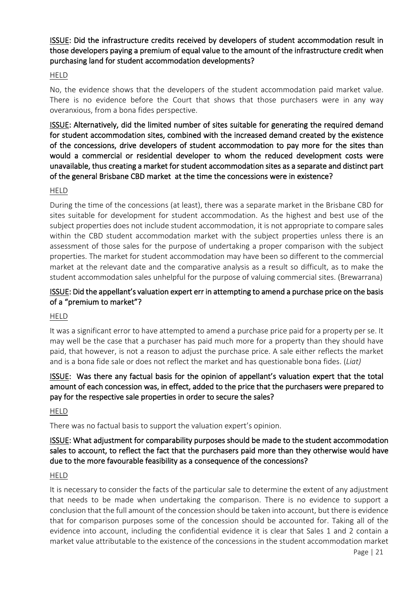ISSUE: Did the infrastructure credits received by developers of student accommodation result in those developers paying a premium of equal value to the amount of the infrastructure credit when purchasing land for student accommodation developments?

#### HELD

No, the evidence shows that the developers of the student accommodation paid market value. There is no evidence before the Court that shows that those purchasers were in any way overanxious, from a bona fides perspective.

ISSUE: Alternatively, did the limited number of sites suitable for generating the required demand for student accommodation sites, combined with the increased demand created by the existence of the concessions, drive developers of student accommodation to pay more for the sites than would a commercial or residential developer to whom the reduced development costs were unavailable, thus creating a market for student accommodation sites as a separate and distinct part of the general Brisbane CBD market at the time the concessions were in existence?

#### HELD

During the time of the concessions (at least), there was a separate market in the Brisbane CBD for sites suitable for development for student accommodation. As the highest and best use of the subject properties does not include student accommodation, it is not appropriate to compare sales within the CBD student accommodation market with the subject properties unless there is an assessment of those sales for the purpose of undertaking a proper comparison with the subject properties. The market for student accommodation may have been so different to the commercial market at the relevant date and the comparative analysis as a result so difficult, as to make the student accommodation sales unhelpful for the purpose of valuing commercial sites. (Brewarrana)

#### ISSUE: Did the appellant's valuation expert err in attempting to amend a purchase price on the basis of a "premium to market"?

#### HELD

It was a significant error to have attempted to amend a purchase price paid for a property per se. It may well be the case that a purchaser has paid much more for a property than they should have paid, that however, is not a reason to adjust the purchase price. A sale either reflects the market and is a bona fide sale or does not reflect the market and has questionable bona fides. (*Liat)*

## ISSUE: Was there any factual basis for the opinion of appellant's valuation expert that the total amount of each concession was, in effect, added to the price that the purchasers were prepared to pay for the respective sale properties in order to secure the sales?

HELD

There was no factual basis to support the valuation expert's opinion.

#### ISSUE: What adjustment for comparability purposes should be made to the student accommodation sales to account, to reflect the fact that the purchasers paid more than they otherwise would have due to the more favourable feasibility as a consequence of the concessions?

#### HELD

It is necessary to consider the facts of the particular sale to determine the extent of any adjustment that needs to be made when undertaking the comparison. There is no evidence to support a conclusion that the full amount of the concession should be taken into account, but there is evidence that for comparison purposes some of the concession should be accounted for. Taking all of the evidence into account, including the confidential evidence it is clear that Sales 1 and 2 contain a market value attributable to the existence of the concessions in the student accommodation market